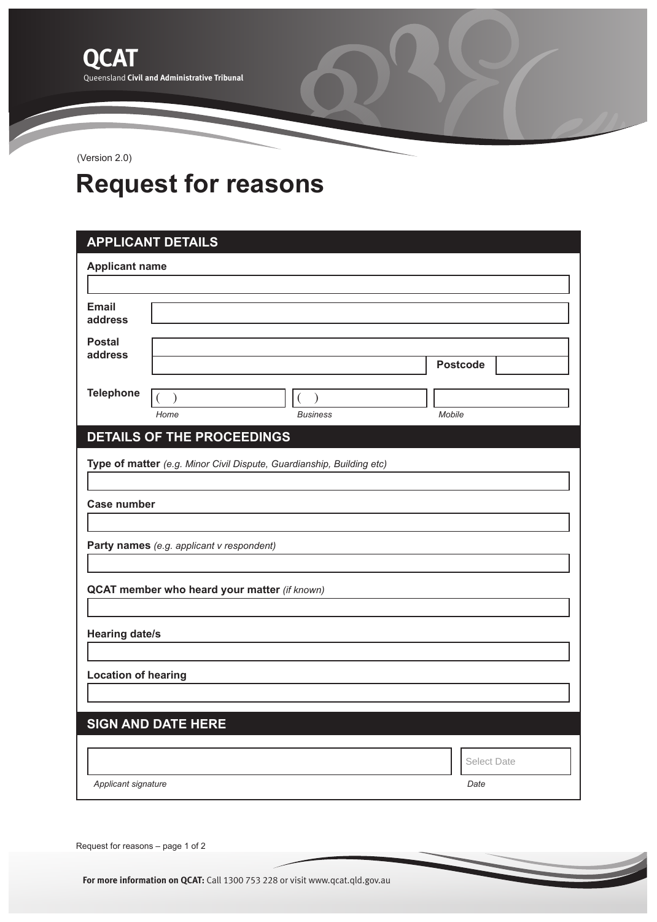(Version 2.0)

## **Request for reasons**

| <b>APPLICANT DETAILS</b>                                              |                                   |                 |                    |  |  |
|-----------------------------------------------------------------------|-----------------------------------|-----------------|--------------------|--|--|
| <b>Applicant name</b>                                                 |                                   |                 |                    |  |  |
|                                                                       |                                   |                 |                    |  |  |
| <b>Email</b><br>address                                               |                                   |                 |                    |  |  |
| <b>Postal</b><br>address                                              |                                   |                 | <b>Postcode</b>    |  |  |
| <b>Telephone</b>                                                      |                                   |                 |                    |  |  |
|                                                                       | Home                              | <b>Business</b> | Mobile             |  |  |
|                                                                       | <b>DETAILS OF THE PROCEEDINGS</b> |                 |                    |  |  |
| Type of matter (e.g. Minor Civil Dispute, Guardianship, Building etc) |                                   |                 |                    |  |  |
| <b>Case number</b>                                                    |                                   |                 |                    |  |  |
|                                                                       |                                   |                 |                    |  |  |
| Party names (e.g. applicant v respondent)                             |                                   |                 |                    |  |  |
| QCAT member who heard your matter (if known)                          |                                   |                 |                    |  |  |
|                                                                       |                                   |                 |                    |  |  |
| <b>Hearing date/s</b>                                                 |                                   |                 |                    |  |  |
| <b>Location of hearing</b>                                            |                                   |                 |                    |  |  |
|                                                                       |                                   |                 |                    |  |  |
|                                                                       | <b>SIGN AND DATE HERE</b>         |                 |                    |  |  |
|                                                                       |                                   |                 |                    |  |  |
|                                                                       |                                   |                 | <b>Select Date</b> |  |  |
| Applicant signature<br>Date                                           |                                   |                 |                    |  |  |
|                                                                       |                                   |                 |                    |  |  |

Request for reasons – page 1 of 2

**For more information on QCAT:** Call 1300 753 228 or visit www.qcat.qld.gov.au **For more information on QCAT:** Call 1300 753 228 or visit www.qcat.qld.gov.au